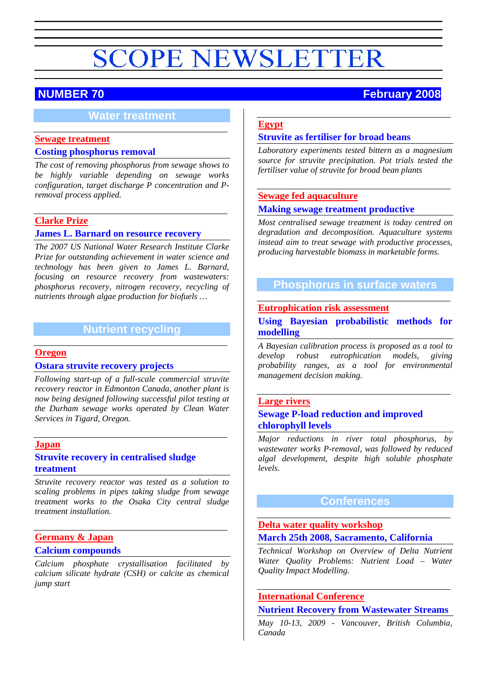#### **Water treatment**

#### **[Sewage treatment](#page-1-0) Costing phosphorus removal**

*The cost of removing phosphorus from sewage shows to be highly variable depending on sewage works configuration, target discharge P concentration and Premoval process applied.* 

#### **[Clarke Prize](#page-3-0)**

#### **James L. Barnard on resource recovery**

*The 2007 US National Water Research Institute Clarke Prize for outstanding achievement in water science and technology has been given to James L. Barnard, focusing on resource recovery from wastewaters: phosphorus recovery, nitrogen recovery, recycling of nutrients through algae production for biofuels …* 

#### **Nutrient recycling**

#### **[Oregon](#page-4-0)**

#### **Ostara struvite recovery projects**

*Following start-up of a full-scale commercial struvite recovery reactor in Edmonton Canada, another plant is now being designed following successful pilot testing at the Durham sewage works operated by Clean Water Services in Tigard, Oregon.* 

#### **[Japan](#page-8-0)**

#### **Struvite recovery in centralised sludge treatment**

*Struvite recovery reactor was tested as a solution to scaling problems in pipes taking sludge from sewage treatment works to the Osaka City central sludge treatment installation.* 

#### **[Germany & Japan](#page-10-0) Calcium compounds**

*Calcium phosphate crystallisation facilitated by calcium silicate hydrate (CSH) or calcite as chemical jump start* 

#### **[Egypt](#page-13-0)**

#### **Struvite as fertiliser for broad beans**

*Laboratory experiments tested bittern as a magnesium source for struvite precipitation. Pot trials tested the fertiliser value of struvite for broad bean plants* 

#### **[Sewage fed aquaculture](#page-14-0)**

#### **Making sewage treatment productive**

*Most centralised sewage treatment is today centred on degradation and decomposition. Aquaculture systems instead aim to treat sewage with productive processes, producing harvestable biomass in marketable forms.* 

#### **Phosphorus in surface waters**

#### **[Eutrophication risk assessment](#page-16-0)**

#### **Using Bayesian probabilistic methods for modelling**

*A Bayesian calibration process is proposed as a tool to develop robust eutrophication models, giving probability ranges, as a tool for environmental management decision making.* 

#### **[Large rivers](#page-17-0)**

#### **Sewage P-load reduction and improved chlorophyll levels**

*Major reductions in river total phosphorus, by wastewater works P-removal, was followed by reduced algal development, despite high soluble phosphate levels.* 

#### **Conferences**

#### **[Delta water quality workshop](#page-18-0) March 25th 2008, Sacramento, California**

*Technical Workshop on Overview of Delta Nutrient Water Quality Problems: Nutrient Load – Water Quality Impact Modelling.* 

#### **[International Conference](#page-20-0)**

**Nutrient Recovery from Wastewater Streams** 

*May 10-13, 2009 - Vancouver, British Columbia, Canada* 

### **NUMBER 70 February 2008**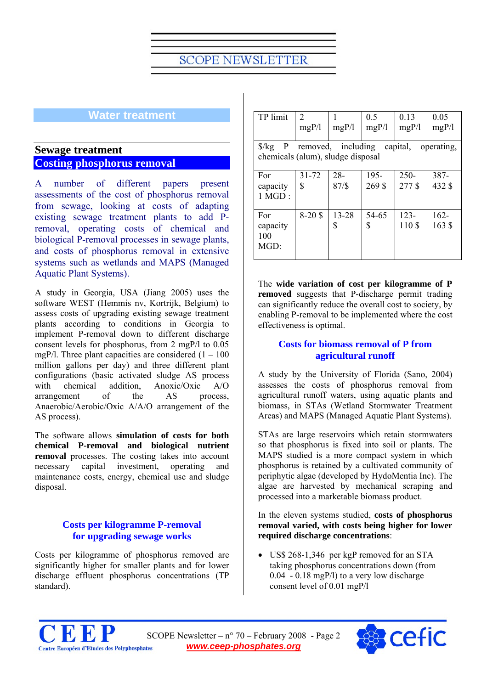#### <span id="page-1-0"></span>**Water treatment**

#### **Sewage treatment Costing phosphorus removal**

A number of different papers present assessments of the cost of phosphorus removal from sewage, looking at costs of adapting existing sewage treatment plants to add Premoval, operating costs of chemical and biological P-removal processes in sewage plants, and costs of phosphorus removal in extensive systems such as wetlands and MAPS (Managed Aquatic Plant Systems).

A study in Georgia, USA (Jiang 2005) uses the software WEST (Hemmis nv, Kortrijk, Belgium) to assess costs of upgrading existing sewage treatment plants according to conditions in Georgia to implement P-removal down to different discharge consent levels for phosphorus, from 2 mgP/l to 0.05 mgP/l. Three plant capacities are considered  $(1 - 100)$ million gallons per day) and three different plant configurations (basic activated sludge AS process with chemical addition, Anoxic/Oxic A/O arrangement of the AS process, Anaerobic/Aerobic/Oxic A/A/O arrangement of the AS process).

The software allows **simulation of costs for both chemical P-removal and biological nutrient removal** processes. The costing takes into account necessary capital investment, operating and maintenance costs, energy, chemical use and sludge disposal.

#### **Costs per kilogramme P-removal for upgrading sewage works**

Costs per kilogramme of phosphorus removed are significantly higher for smaller plants and for lower discharge effluent phosphorus concentrations (TP standard).

| TP limit                                                                                                    | $\overline{2}$<br>mgP/1 | mgP/1       | 0.5<br>mgP/1      | 0.13<br>mgP/1    | 0.05<br>mgP/1     |  |  |
|-------------------------------------------------------------------------------------------------------------|-------------------------|-------------|-------------------|------------------|-------------------|--|--|
| P removed, including<br>$\frac{\sqrt{2}}{2}$<br>capital,<br>operating.<br>chemicals (alum), sludge disposal |                         |             |                   |                  |                   |  |  |
| For<br>capacity<br>$1 MGD$ :                                                                                | $31 - 72$<br>S          | 28-<br>87/S | $195 -$<br>269 \$ | $250-$<br>277 \$ | 387-<br>432 \$    |  |  |
| For<br>capacity<br>100<br>MGD:                                                                              | $8-20S$                 | 13-28<br>S  | 54-65<br>S        | $123-$<br>110\$  | $162 -$<br>163 \$ |  |  |

The **wide variation of cost per kilogramme of P removed** suggests that P-discharge permit trading can significantly reduce the overall cost to society, by enabling P-removal to be implemented where the cost effectiveness is optimal.

#### **Costs for biomass removal of P from agricultural runoff**

A study by the University of Florida (Sano, 2004) assesses the costs of phosphorus removal from agricultural runoff waters, using aquatic plants and biomass, in STAs (Wetland Stormwater Treatment Areas) and MAPS (Managed Aquatic Plant Systems).

STAs are large reservoirs which retain stormwaters so that phosphorus is fixed into soil or plants. The MAPS studied is a more compact system in which phosphorus is retained by a cultivated community of periphytic algae (developed by HydoMentia Inc). The algae are harvested by mechanical scraping and processed into a marketable biomass product.

#### In the eleven systems studied, **costs of phosphorus removal varied, with costs being higher for lower required discharge concentrations**:

• US\$ 268-1,346 per kgP removed for an STA taking phosphorus concentrations down (from 0.04 - 0.18 mgP/l) to a very low discharge consent level of 0.01 mgP/l



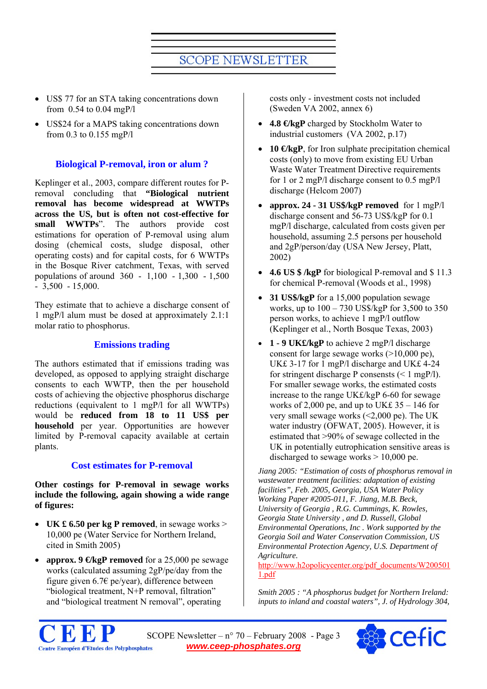- US\$ 77 for an STA taking concentrations down from 0.54 to 0.04 mgP/l
- US\$24 for a MAPS taking concentrations down from 0.3 to 0.155 mgP/l

#### **Biological P-removal, iron or alum ?**

Keplinger et al., 2003, compare different routes for Premoval concluding that **"Biological nutrient removal has become widespread at WWTPs across the US, but is often not cost-effective for small WWTPs**". The authors provide cost estimations for operation of P-removal using alum dosing (chemical costs, sludge disposal, other operating costs) and for capital costs, for 6 WWTPs in the Bosque River catchment, Texas, with served populations of around 360 - 1,100 - 1,300 - 1,500  $-3,500 - 15,000$ .

They estimate that to achieve a discharge consent of 1 mgP/l alum must be dosed at approximately 2.1:1 molar ratio to phosphorus.

#### **Emissions trading**

The authors estimated that if emissions trading was developed, as opposed to applying straight discharge consents to each WWTP, then the per household costs of achieving the objective phosphorus discharge reductions (equivalent to 1 mgP/l for all WWTPs) would be **reduced from 18 to 11 US\$ per household** per year. Opportunities are however limited by P-removal capacity available at certain plants.

#### **Cost estimates for P-removal**

**Other costings for P-removal in sewage works include the following, again showing a wide range of figures:** 

- **UK £ 6.50 per kg P removed**, in sewage works > 10,000 pe (Water Service for Northern Ireland, cited in Smith 2005)
- **approx. 9 €/kgP removed** for a 25,000 pe sewage works (calculated assuming 2gP/pe/day from the figure given 6.7€ pe/year), difference between "biological treatment, N+P removal, filtration" and "biological treatment N removal", operating

costs only - investment costs not included (Sweden VA 2002, annex 6)

- **4.8 €kgP** charged by Stockholm Water to industrial customers (VA 2002, p.17)
- **10 €kgP**, for Iron sulphate precipitation chemical costs (only) to move from existing EU Urban Waste Water Treatment Directive requirements for 1 or 2 mgP/l discharge consent to 0.5 mgP/l discharge (Helcom 2007)
- **approx. 24 31 US\$/kgP removed** for 1 mgP/l discharge consent and 56-73 US\$/kgP for 0.1 mgP/l discharge, calculated from costs given per household, assuming 2.5 persons per household and 2gP/person/day (USA New Jersey, Platt, 2002)
- **4.6 US \$ /kgP** for biological P-removal and \$ 11.3 for chemical P-removal (Woods et al., 1998)
- **31 US\$/kgP** for a 15,000 population sewage works, up to 100 – 730 US\$/kgP for 3,500 to 350 person works, to achieve 1 mgP/l outflow (Keplinger et al., North Bosque Texas, 2003)
- **1 9 UK£/kgP** to achieve 2 mgP/l discharge consent for large sewage works (>10,000 pe), UK£ 3-17 for 1 mgP/l discharge and UK£ 4-24 for stringent discharge P consensts  $(< 1$  mgP/l). For smaller sewage works, the estimated costs increase to the range UK£/kgP 6-60 for sewage works of 2,000 pe, and up to UK£ 35 – 146 for very small sewage works (<2,000 pe). The UK water industry (OFWAT, 2005). However, it is estimated that >90% of sewage collected in the UK in potentially eutrophication sensitive areas is discharged to sewage works > 10,000 pe.

*Jiang 2005: "Estimation of costs of phosphorus removal in wastewater treatment facilities: adaptation of existing facilities", Feb. 2005, Georgia, USA Water Policy Working Paper #2005-011, F. Jiang, M.B. Beck, University of Georgia , R.G. Cummings, K. Rowles, Georgia State University , and D. Russell, Global Environmental Operations, Inc . Work supported by the Georgia Soil and Water Conservation Commission, US Environmental Protection Agency, U.S. Department of Agriculture.* 

[http://www.h2opolicycenter.org/pdf\\_documents/W200501](http://www.h2opolicycenter.org/pdf_documents/W2005011.pdf) [1.pdf](http://www.h2opolicycenter.org/pdf_documents/W2005011.pdf)

*Smith 2005 : "A phosphorus budget for Northern Ireland: inputs to inland and coastal waters", J. of Hydrology 304,* 



SCOPE Newsletter –  $n^{\circ}$  70 – February 2008 - Page 3 *www.ceep-phosphates.org*

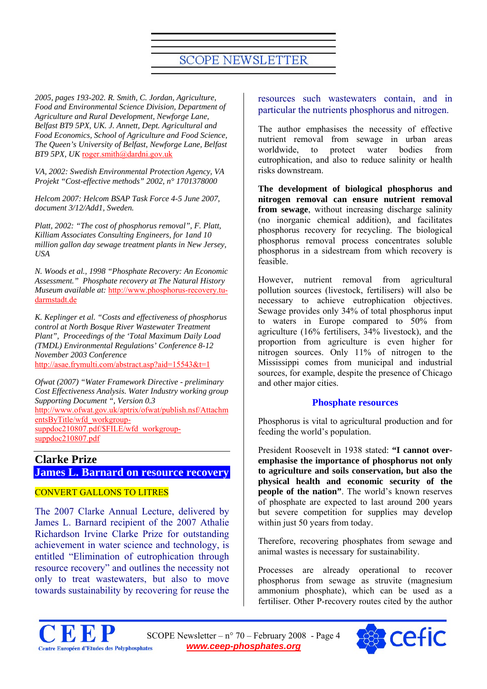<span id="page-3-0"></span>*2005, pages 193-202. R. Smith, C. Jordan, Agriculture, Food and Environmental Science Division, Department of Agriculture and Rural Development, Newforge Lane, Belfast BT9 5PX, UK. J. Annett, Dept. Agricultural and Food Economics, School of Agriculture and Food Science, The Queen's University of Belfast, Newforge Lane, Belfast BT9 5PX, UK* [roger.smith@dardni.gov.uk](mailto:roger.smith@dardni.gov.uk)

*VA, 2002: Swedish Environmental Protection Agency, VA Projekt "Cost-effective methods" 2002, n° 1701378000* 

*Helcom 2007: Helcom BSAP Task Force 4-5 June 2007, document 3/12/Add1, Sweden.* 

*Platt, 2002: "The cost of phosphorus removal", F. Platt, Killiam Associates Consulting Engineers, for 1and 10 million gallon day sewage treatment plants in New Jersey, USA* 

*N. Woods et al., 1998 "Phosphate Recovery: An Economic Assessment." Phosphate recovery at The Natural History Museum available at:* [http://www.phosphorus-recovery.tu](http://www.phosphorus-recovery.tu-darmstadt.de/)[darmstadt.de](http://www.phosphorus-recovery.tu-darmstadt.de/)

*K. Keplinger et al. "Costs and effectiveness of phosphorus control at North Bosque River Wastewater Treatment Plant", Proceedings of the 'Total Maximum Daily Load (TMDL) Environmental Regulations' Conference 8-12 November 2003 Conference*  <http://asae.frymulti.com/abstract.asp?aid=15543&t=1>

*Ofwat (2007) "Water Framework Directive - preliminary Cost Effectiveness Analysis. Water Industry working group Supporting Document ", Version 0.3*  [http://www.ofwat.gov.uk/aptrix/ofwat/publish.nsf/Attachm](http://www.ofwat.gov.uk/aptrix/ofwat/publish.nsf/AttachmentsByTitle/wfd_workgroup-suppdoc210807.pdf/$FILE/wfd_workgroup-suppdoc210807.pdf) [entsByTitle/wfd\\_workgroup](http://www.ofwat.gov.uk/aptrix/ofwat/publish.nsf/AttachmentsByTitle/wfd_workgroup-suppdoc210807.pdf/$FILE/wfd_workgroup-suppdoc210807.pdf)[suppdoc210807.pdf/\\$FILE/wfd\\_workgroup](http://www.ofwat.gov.uk/aptrix/ofwat/publish.nsf/AttachmentsByTitle/wfd_workgroup-suppdoc210807.pdf/$FILE/wfd_workgroup-suppdoc210807.pdf)[suppdoc210807.pdf](http://www.ofwat.gov.uk/aptrix/ofwat/publish.nsf/AttachmentsByTitle/wfd_workgroup-suppdoc210807.pdf/$FILE/wfd_workgroup-suppdoc210807.pdf)

#### **Clarke Prize James L. Barnard on resource recovery**

#### CONVERT GALLONS TO LITRES

The 2007 Clarke Annual Lecture, delivered by James L. Barnard recipient of the 2007 Athalie Richardson Irvine Clarke Prize for outstanding achievement in water science and technology, is entitled "Elimination of eutrophication through resource recovery" and outlines the necessity not only to treat wastewaters, but also to move towards sustainability by recovering for reuse the

resources such wastewaters contain, and in particular the nutrients phosphorus and nitrogen.

The author emphasises the necessity of effective nutrient removal from sewage in urban areas worldwide, to protect water bodies from eutrophication, and also to reduce salinity or health risks downstream.

**The development of biological phosphorus and nitrogen removal can ensure nutrient removal from sewage**, without increasing discharge salinity (no inorganic chemical addition), and facilitates phosphorus recovery for recycling. The biological phosphorus removal process concentrates soluble phosphorus in a sidestream from which recovery is feasible.

However, nutrient removal from agricultural pollution sources (livestock, fertilisers) will also be necessary to achieve eutrophication objectives. Sewage provides only 34% of total phosphorus input to waters in Europe compared to 50% from agriculture (16% fertilisers, 34% livestock), and the proportion from agriculture is even higher for nitrogen sources. Only 11% of nitrogen to the Mississippi comes from municipal and industrial sources, for example, despite the presence of Chicago and other major cities.

#### **Phosphate resources**

Phosphorus is vital to agricultural production and for feeding the world's population.

President Roosevelt in 1938 stated: **"I cannot overemphasise the importance of phosphorus not only to agriculture and soils conservation, but also the physical health and economic security of the people of the nation"**. The world's known reserves of phosphate are expected to last around 200 years but severe competition for supplies may develop within just 50 years from today.

Therefore, recovering phosphates from sewage and animal wastes is necessary for sustainability.

Processes are already operational to recover phosphorus from sewage as struvite (magnesium ammonium phosphate), which can be used as a fertiliser. Other P-recovery routes cited by the author

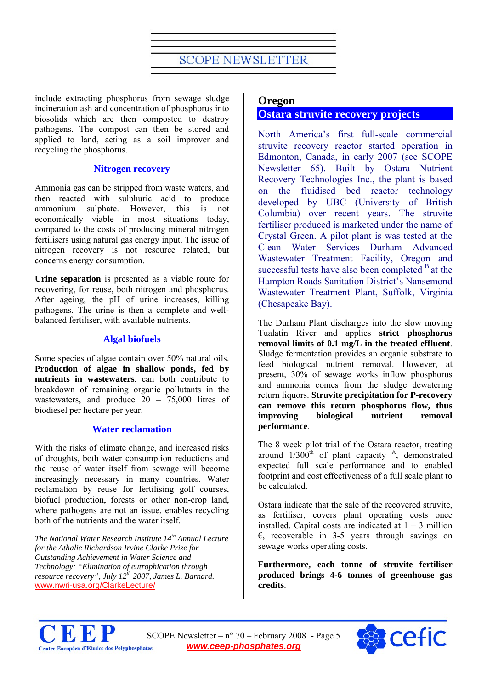<span id="page-4-0"></span>include extracting phosphorus from sewage sludge incineration ash and concentration of phosphorus into biosolids which are then composted to destroy pathogens. The compost can then be stored and applied to land, acting as a soil improver and recycling the phosphorus.

#### **Nitrogen recovery**

Ammonia gas can be stripped from waste waters, and then reacted with sulphuric acid to produce ammonium sulphate. However, this is not economically viable in most situations today, compared to the costs of producing mineral nitrogen fertilisers using natural gas energy input. The issue of nitrogen recovery is not resource related, but concerns energy consumption.

**Urine separation** is presented as a viable route for recovering, for reuse, both nitrogen and phosphorus. After ageing, the pH of urine increases, killing pathogens. The urine is then a complete and wellbalanced fertiliser, with available nutrients.

#### **Algal biofuels**

Some species of algae contain over 50% natural oils. **Production of algae in shallow ponds, fed by nutrients in wastewaters**, can both contribute to breakdown of remaining organic pollutants in the wastewaters, and produce  $20 - 75,000$  litres of biodiesel per hectare per year.

#### **Water reclamation**

With the risks of climate change, and increased risks of droughts, both water consumption reductions and the reuse of water itself from sewage will become increasingly necessary in many countries. Water reclamation by reuse for fertilising golf courses, biofuel production, forests or other non-crop land, where pathogens are not an issue, enables recycling both of the nutrients and the water itself.

*The National Water Research Institute 14th Annual Lecture for the Athalie Richardson Irvine Clarke Prize for Outstanding Achievement in Water Science and Technology: "Elimination of eutrophication through resource recovery", July 12th 2007, James L. Barnard.*  [www.nwri-usa.org/ClarkeLecture/](http://www.nwri-usa.org/ClarkeLecture/)

#### **Oregon Ostara struvite recovery projects**

North America's first full-scale commercial struvite recovery reactor started operation in Edmonton, Canada, in early 2007 (see SCOPE Newsletter 65). Built by Ostara Nutrient Recovery Technologies Inc., the plant is based on the fluidised bed reactor technology developed by UBC (University of British Columbia) over recent years. The struvite fertiliser produced is marketed under the name of Crystal Green. A pilot plant is was tested at the Clean Water Services Durham Advanced Wastewater Treatment Facility, Oregon and successful tests have also been completed  $B$  at the Hampton Roads Sanitation District's Nansemond Wastewater Treatment Plant, Suffolk, Virginia (Chesapeake Bay).

The Durham Plant discharges into the slow moving Tualatin River and applies **strict phosphorus removal limits of 0.1 mg/L in the treated effluent**. Sludge fermentation provides an organic substrate to feed biological nutrient removal. However, at present, 30% of sewage works inflow phosphorus and ammonia comes from the sludge dewatering return liquors. **Struvite precipitation for P-recovery can remove this return phosphorus flow, thus improving biological nutrient removal performance**.

The 8 week pilot trial of the Ostara reactor, treating around  $1/300^{\text{th}}$  of plant capacity  $^{A}$ , demonstrated expected full scale performance and to enabled footprint and cost effectiveness of a full scale plant to be calculated.

Ostara indicate that the sale of the recovered struvite, as fertiliser, covers plant operating costs once installed. Capital costs are indicated at  $1 - 3$  million  $\epsilon$ , recoverable in 3-5 years through savings on sewage works operating costs.

**Furthermore, each tonne of struvite fertiliser produced brings 4-6 tonnes of greenhouse gas credits**.



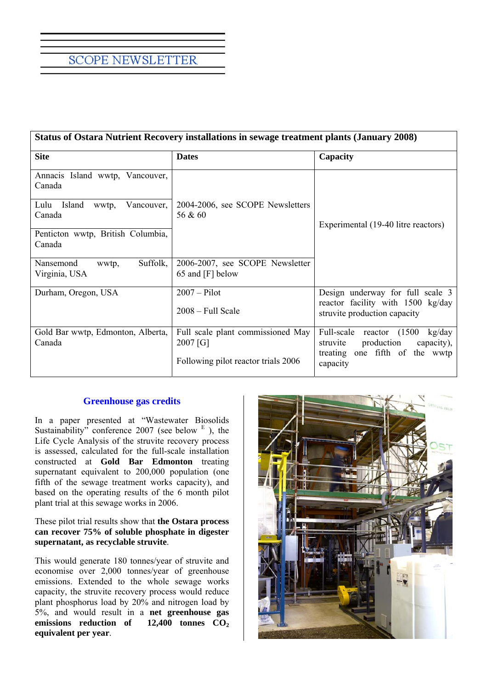| <b>Status of Ostara Nutrient Recovery installations in sewage treatment plants (January 2008)</b> |                                                                                   |                                                                             |  |  |  |
|---------------------------------------------------------------------------------------------------|-----------------------------------------------------------------------------------|-----------------------------------------------------------------------------|--|--|--|
| <b>Site</b>                                                                                       | <b>Dates</b>                                                                      | Capacity                                                                    |  |  |  |
| Annacis Island wwtp, Vancouver,<br>Canada                                                         |                                                                                   |                                                                             |  |  |  |
| Lulu<br>Island<br>Vancouver,<br>wwtp,<br>Canada                                                   | 2004-2006, see SCOPE Newsletters<br>56 & 60                                       | Experimental (19-40 litre reactors)                                         |  |  |  |
| Penticton wwtp, British Columbia,<br>Canada                                                       |                                                                                   |                                                                             |  |  |  |
| Suffolk,<br>Nansemond<br>wwtp,<br>Virginia, USA                                                   | 2006-2007, see SCOPE Newsletter<br>65 and [F] below                               |                                                                             |  |  |  |
| Durham, Oregon, USA                                                                               | $2007 -$ Pilot                                                                    | Design underway for full scale 3                                            |  |  |  |
|                                                                                                   | $2008 - Full Scale$                                                               | reactor facility with 1500 kg/day<br>struvite production capacity           |  |  |  |
| Gold Bar wwtp, Edmonton, Alberta,<br>Canada                                                       | Full scale plant commissioned May<br>2007 [G]                                     | Full-scale reactor (1500)<br>kg/day<br>production<br>struvite<br>capacity), |  |  |  |
|                                                                                                   | treating one fifth of the wwtp<br>Following pilot reactor trials 2006<br>capacity |                                                                             |  |  |  |

#### **Greenhouse gas credits**

In a paper presented at "Wastewater Biosolids Sustainability" conference 2007 (see below  $E$ ), the Life Cycle Analysis of the struvite recovery process is assessed, calculated for the full-scale installation constructed at **Gold Bar Edmonton** treating supernatant equivalent to 200,000 population (one fifth of the sewage treatment works capacity), and based on the operating results of the 6 month pilot plant trial at this sewage works in 2006.

#### These pilot trial results show that **the Ostara process can recover 75% of soluble phosphate in digester supernatant, as recyclable struvite**.

This would generate 180 tonnes/year of struvite and economise over 2,000 tonnes/year of greenhouse emissions. Extended to the whole sewage works capacity, the struvite recovery process would reduce plant phosphorus load by 20% and nitrogen load by 5%, and would result in a **net greenhouse gas**  emissions reduction of  $12,400$  tonnes  $CO<sub>2</sub>$ **equivalent per year**.

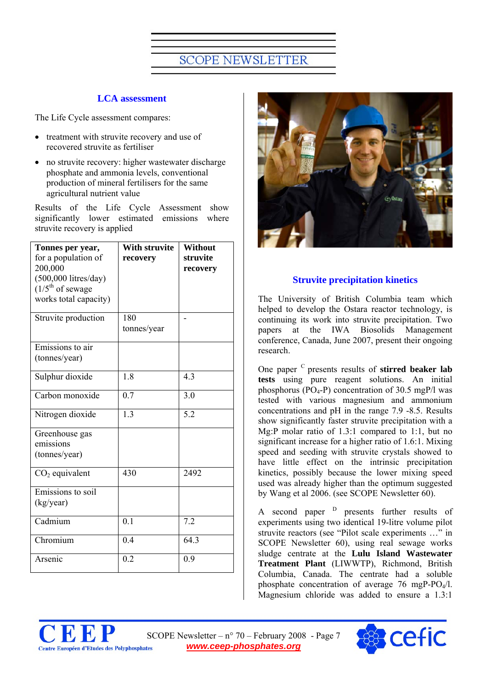#### **LCA assessment**

The Life Cycle assessment compares:

- treatment with struvite recovery and use of recovered struvite as fertiliser
- no struvite recovery: higher wastewater discharge phosphate and ammonia levels, conventional production of mineral fertilisers for the same agricultural nutrient value

Results of the Life Cycle Assessment show significantly lower estimated emissions where struvite recovery is applied

| Tonnes per year,<br>for a population of<br>200,000<br>$(500,000$ litres/day)<br>$(1/5th$ of sewage<br>works total capacity) | <b>With struvite</b><br>recovery | Without<br>struvite<br>recovery |
|-----------------------------------------------------------------------------------------------------------------------------|----------------------------------|---------------------------------|
| Struvite production                                                                                                         | 180<br>tonnes/year               |                                 |
| Emissions to air<br>(tonnes/year)                                                                                           |                                  |                                 |
| Sulphur dioxide                                                                                                             | 1.8                              | 4.3                             |
| Carbon monoxide                                                                                                             | 0.7                              | 3.0                             |
| Nitrogen dioxide                                                                                                            | 1.3                              | 5.2                             |
| Greenhouse gas<br>emissions<br>(tonnes/year)                                                                                |                                  |                                 |
| $CO2$ equivalent                                                                                                            | 430                              | 2492                            |
| Emissions to soil<br>(kg/year)                                                                                              |                                  |                                 |
| Cadmium                                                                                                                     | 0.1                              | 7.2                             |
| Chromium                                                                                                                    | 0.4                              | 64.3                            |
| Arsenic                                                                                                                     | 0.2                              | 0.9                             |



#### **Struvite precipitation kinetics**

The University of British Columbia team which helped to develop the Ostara reactor technology, is continuing its work into struvite precipitation. Two papers at the IWA Biosolids Management conference, Canada, June 2007, present their ongoing research.

One paper C presents results of **stirred beaker lab tests** using pure reagent solutions. An initial phosphorus ( $\overline{PQ_4-P}$ ) concentration of 30.5 mgP/l was tested with various magnesium and ammonium concentrations and pH in the range 7.9 -8.5. Results show significantly faster struvite precipitation with a Mg:P molar ratio of 1.3:1 compared to 1:1, but no significant increase for a higher ratio of 1.6:1. Mixing speed and seeding with struvite crystals showed to have little effect on the intrinsic precipitation kinetics, possibly because the lower mixing speed used was already higher than the optimum suggested by Wang et al 2006. (see SCOPE Newsletter 60).

A second paper  $\overline{D}$  presents further results of experiments using two identical 19-litre volume pilot struvite reactors (see "Pilot scale experiments …" in SCOPE Newsletter 60), using real sewage works sludge centrate at the **Lulu Island Wastewater Treatment Plant** (LIWWTP), Richmond, British Columbia, Canada. The centrate had a soluble phosphate concentration of average  $76 \text{ mgP-PO}_4/l$ . Magnesium chloride was added to ensure a 1.3:1



SCOPE Newsletter –  $n^{\circ}$  70 – February 2008 - Page 7 *www.ceep-phosphates.org*

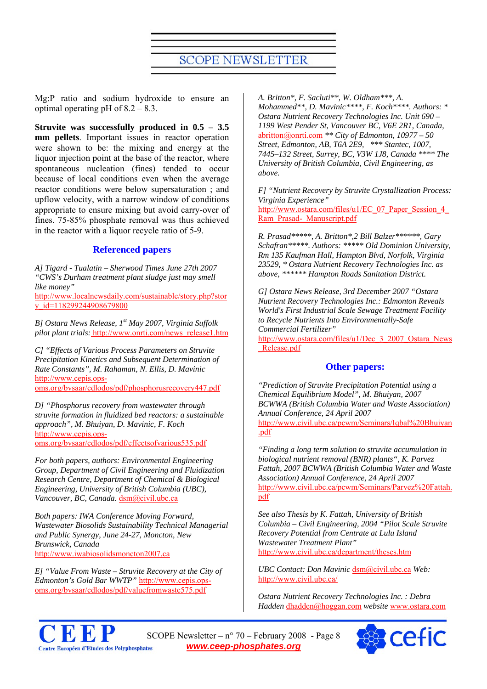Mg:P ratio and sodium hydroxide to ensure an optimal operating pH of  $8.2 - 8.3$ .

**Struvite was successfully produced in 0.5 – 3.5 mm pellets**. Important issues in reactor operation were shown to be: the mixing and energy at the liquor injection point at the base of the reactor, where spontaneous nucleation (fines) tended to occur because of local conditions even when the average reactor conditions were below supersaturation ; and upflow velocity, with a narrow window of conditions appropriate to ensure mixing but avoid carry-over of fines. 75-85% phosphate removal was thus achieved in the reactor with a liquor recycle ratio of 5-9.

#### **Referenced papers**

*A] Tigard - Tualatin – Sherwood Times June 27th 2007 "CWS's Durham treatment plant sludge just may smell like money"* 

[http://www.localnewsdaily.com/sustainable/story.php?stor](http://www.localnewsdaily.com/sustainable/story.php?story_id=118299244908679800) y id=118299244908679800

*B] Ostara News Release, 1st May 2007, Virginia Suffolk pilot plant trials:* [http://www.onrti.com/news\\_release1.htm](http://www.onrti.com/news_release1.htm)

*C] "Effects of Various Process Parameters on Struvite Precipitation Kinetics and Subsequent Determination of Rate Constants", M. Rahaman, N. Ellis, D. Mavinic*  [http://www.cepis.ops](http://www.cepis.ops-oms.org/bvsaar/cdlodos/pdf/phosphorusrecovery447.pdf)[oms.org/bvsaar/cdlodos/pdf/phosphorusrecovery447.pdf](http://www.cepis.ops-oms.org/bvsaar/cdlodos/pdf/phosphorusrecovery447.pdf)

*D] "Phosphorus recovery from wastewater through struvite formation in fluidized bed reactors: a sustainable approach", M. Bhuiyan, D. Mavinic, F. Koch*  [http://www.cepis.ops](http://www.cepis.ops-oms.org/bvsaar/cdlodos/pdf/effectsofvarious535.pdf)[oms.org/bvsaar/cdlodos/pdf/effectsofvarious535.pdf](http://www.cepis.ops-oms.org/bvsaar/cdlodos/pdf/effectsofvarious535.pdf)

*For both papers, authors: Environmental Engineering Group, Department of Civil Engineering and Fluidization Research Centre, Department of Chemical & Biological Engineering, University of British Columbia (UBC), Vancouver, BC, Canada.* [dsm@civil.ubc.ca](mailto:dsm@civil.ubc.ca)

*Both papers: IWA Conference Moving Forward, Wastewater Biosolids Sustainability Technical Managerial and Public Synergy, June 24-27, Moncton, New Brunswick, Canada*  [http://www.iwabiosolidsmoncton2007.ca](http://www.iwabiosolidsmoncton2007.ca/)

*E] "Value From Waste – Struvite Recovery at the City of Edmonton's Gold Bar WWTP"* [http://www.cepis.ops](http://www.cepis.ops-oms.org/bvsaar/cdlodos/pdf/valuefromwaste575.pdf)[oms.org/bvsaar/cdlodos/pdf/valuefromwaste575.pdf](http://www.cepis.ops-oms.org/bvsaar/cdlodos/pdf/valuefromwaste575.pdf)

*A. Britton\*, F. Sacluti\*\*, W. Oldham\*\*\*, A.* 

*Mohammed\*\*, D. Mavinic\*\*\*\*, F. Koch\*\*\*\*. Authors: \* Ostara Nutrient Recovery Technologies Inc. Unit 690 – 1199 West Pender St, Vancouver BC, V6E 2R1, Canada,*  [abritton@onrti.com](mailto:abritton@onrti.com) *\*\* City of Edmonton, 10977 – 50 Street, Edmonton, AB, T6A 2E9, \*\*\* Stantec, 1007, 7445–132 Street, Surrey, BC, V3W 1J8, Canada \*\*\*\* The University of British Columbia, Civil Engineering, as above.* 

*F] "Nutrient Recovery by Struvite Crystallization Process: Virginia Experience"* 

http://www.ostara.com/files/u1/EC\_07\_Paper\_Session\_4 [Ram\\_Prasad-\\_Manuscript.pdf](http://www.ostara.com/files/u1/EC_07_Paper_Session_4_Ram_Prasad-_Manuscript.pdf)

*R. Prasad\*\*\*\*\*, A. Britton\*,2 Bill Balzer\*\*\*\*\*\*, Gary Schafran\*\*\*\*\*. Authors: \*\*\*\*\* Old Dominion University, Rm 135 Kaufman Hall, Hampton Blvd, Norfolk, Virginia 23529, \* Ostara Nutrient Recovery Technologies Inc. as above, \*\*\*\*\*\* Hampton Roads Sanitation District.* 

*G] Ostara News Release, 3rd December 2007 "Ostara Nutrient Recovery Technologies Inc.: Edmonton Reveals World's First Industrial Scale Sewage Treatment Facility to Recycle Nutrients Into Environmentally-Safe Commercial Fertilizer"* 

[http://www.ostara.com/files/u1/Dec\\_3\\_2007\\_Ostara\\_News](http://www.ostara.com/files/u1/Dec_3_2007_Ostara_News_Release.pdf) [\\_Release.pdf](http://www.ostara.com/files/u1/Dec_3_2007_Ostara_News_Release.pdf)

#### **Other papers:**

*"Prediction of Struvite Precipitation Potential using a Chemical Equilibrium Model", M. Bhuiyan, 2007 BCWWA (British Columbia Water and Waste Association) Annual Conference, 24 April 2007*  [http://www.civil.ubc.ca/pcwm/Seminars/Iqbal%20Bhuiyan](http://www.civil.ubc.ca/pcwm/Seminars/Iqbal Bhuiyan.pdf) [.pdf](http://www.civil.ubc.ca/pcwm/Seminars/Iqbal Bhuiyan.pdf)

*"Finding a long term solution to struvite accumulation in biological nutrient removal (BNR) plants", K. Parvez Fattah, 2007 BCWWA (British Columbia Water and Waste Association) Annual Conference, 24 April 2007*  [http://www.civil.ubc.ca/pcwm/Seminars/Parvez%20Fattah.](http://www.civil.ubc.ca/pcwm/Seminars/Parvez Fattah.pdf) [pdf](http://www.civil.ubc.ca/pcwm/Seminars/Parvez Fattah.pdf)

*See also Thesis by K. Fattah, University of British Columbia – Civil Engineering, 2004 "Pilot Scale Struvite Recovery Potential from Centrate at Lulu Island Wastewater Treatment Plant"*  <http://www.civil.ubc.ca/department/theses.htm>

*UBC Contact: Don Mavinic* [dsm@civil.ubc.ca](mailto:dsm@civil.ubc.ca) *Web:*  <http://www.civil.ubc.ca/>

*Ostara Nutrient Recovery Technologies Inc. : Debra Hadden* [dhadden@hoggan.com](mailto:dhadden@hoggan.com) *website* [www.ostara.com](http://www.ostara.com/)



SCOPE Newsletter – n° 70 – February 2008 - Page 8 *www.ceep-phosphates.org*

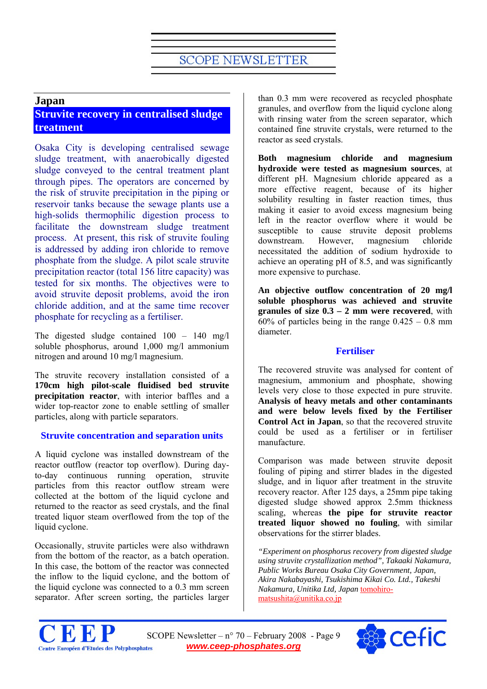#### <span id="page-8-0"></span>**Japan**

### **Struvite recovery in centralised sludge treatment**

Osaka City is developing centralised sewage sludge treatment, with anaerobically digested sludge conveyed to the central treatment plant through pipes. The operators are concerned by the risk of struvite precipitation in the piping or reservoir tanks because the sewage plants use a high-solids thermophilic digestion process to facilitate the downstream sludge treatment process. At present, this risk of struvite fouling is addressed by adding iron chloride to remove phosphate from the sludge. A pilot scale struvite precipitation reactor (total 156 litre capacity) was tested for six months. The objectives were to avoid struvite deposit problems, avoid the iron chloride addition, and at the same time recover phosphate for recycling as a fertiliser.

The digested sludge contained 100 – 140 mg/l soluble phosphorus, around 1,000 mg/l ammonium nitrogen and around 10 mg/l magnesium.

The struvite recovery installation consisted of a **170cm high pilot-scale fluidised bed struvite precipitation reactor**, with interior baffles and a wider top-reactor zone to enable settling of smaller particles, along with particle separators.

#### **Struvite concentration and separation units**

A liquid cyclone was installed downstream of the reactor outflow (reactor top overflow). During dayto-day continuous running operation, struvite particles from this reactor outflow stream were collected at the bottom of the liquid cyclone and returned to the reactor as seed crystals, and the final treated liquor steam overflowed from the top of the liquid cyclone.

Occasionally, struvite particles were also withdrawn from the bottom of the reactor, as a batch operation. In this case, the bottom of the reactor was connected the inflow to the liquid cyclone, and the bottom of the liquid cyclone was connected to a  $0.3$  mm screen separator. After screen sorting, the particles larger

than 0.3 mm were recovered as recycled phosphate granules, and overflow from the liquid cyclone along with rinsing water from the screen separator, which contained fine struvite crystals, were returned to the reactor as seed crystals.

**Both magnesium chloride and magnesium hydroxide were tested as magnesium sources**, at different pH. Magnesium chloride appeared as a more effective reagent, because of its higher solubility resulting in faster reaction times, thus making it easier to avoid excess magnesium being left in the reactor overflow where it would be susceptible to cause struvite deposit problems downstream. However, magnesium chloride necessitated the addition of sodium hydroxide to achieve an operating pH of 8.5, and was significantly more expensive to purchase.

**An objective outflow concentration of 20 mg/l soluble phosphorus was achieved and struvite granules of size 0.3 – 2 mm were recovered**, with  $60\%$  of particles being in the range  $0.425 - 0.8$  mm diameter.

#### **Fertiliser**

The recovered struvite was analysed for content of magnesium, ammonium and phosphate, showing levels very close to those expected in pure struvite. **Analysis of heavy metals and other contaminants and were below levels fixed by the Fertiliser Control Act in Japan**, so that the recovered struvite could be used as a fertiliser or in fertiliser manufacture.

Comparison was made between struvite deposit fouling of piping and stirrer blades in the digested sludge, and in liquor after treatment in the struvite recovery reactor. After 125 days, a 25mm pipe taking digested sludge showed approx 2.5mm thickness scaling, whereas **the pipe for struvite reactor treated liquor showed no fouling**, with similar observations for the stirrer blades.

*"Experiment on phosphorus recovery from digested sludge using struvite crystallization method", Takaaki Nakamura, Public Works Bureau Osaka City Government, Japan, Akira Nakabayashi, Tsukishima Kikai Co. Ltd., Takeshi Nakamura, Unitika Ltd, Japan* [tomohiro](mailto:tomohiro-matsushita@unitika.co.jp)[matsushita@unitika.co.jp](mailto:tomohiro-matsushita@unitika.co.jp)



SCOPE Newsletter –  $n^{\circ}$  70 – February 2008 - Page 9 *www.ceep-phosphates.org*

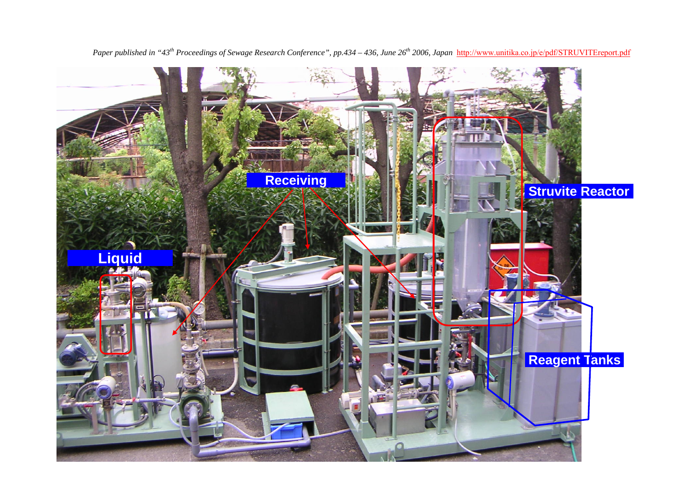

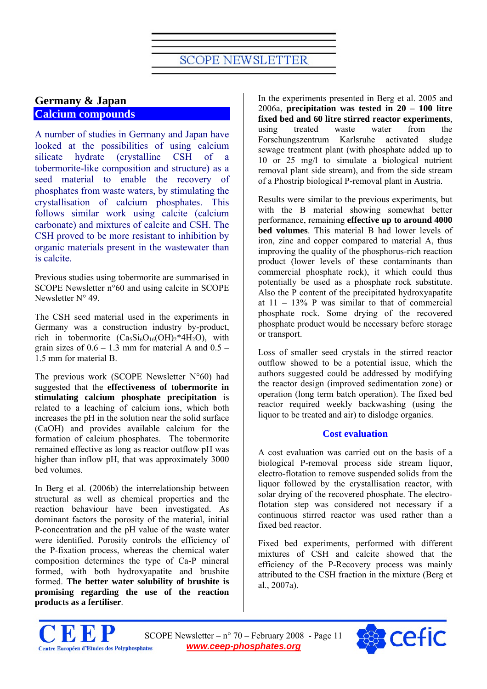### <span id="page-10-0"></span>**Germany & Japan Calcium compounds**

A number of studies in Germany and Japan have looked at the possibilities of using calcium silicate hydrate (crystalline CSH of a tobermorite-like composition and structure) as a seed material to enable the recovery of phosphates from waste waters, by stimulating the crystallisation of calcium phosphates. This follows similar work using calcite (calcium carbonate) and mixtures of calcite and CSH. The CSH proved to be more resistant to inhibition by organic materials present in the wastewater than is calcite.

Previous studies using tobermorite are summarised in SCOPE Newsletter n°60 and using calcite in SCOPE Newsletter N° 49.

The CSH seed material used in the experiments in Germany was a construction industry by-product, rich in tobermorite  $(Ca_5Si_6O_{16}(OH))^*4H_2O$ , with grain sizes of  $0.6 - 1.3$  mm for material A and  $0.5 -$ 1.5 mm for material B.

The previous work (SCOPE Newsletter N°60) had suggested that the **effectiveness of tobermorite in stimulating calcium phosphate precipitation** is related to a leaching of calcium ions, which both increases the pH in the solution near the solid surface (CaOH) and provides available calcium for the formation of calcium phosphates. The tobermorite remained effective as long as reactor outflow pH was higher than inflow pH, that was approximately 3000 bed volumes.

In Berg et al. (2006b) the interrelationship between structural as well as chemical properties and the reaction behaviour have been investigated. As dominant factors the porosity of the material, initial P-concentration and the pH value of the waste water were identified. Porosity controls the efficiency of the P-fixation process, whereas the chemical water composition determines the type of Ca-P mineral formed, with both hydroxyapatite and brushite formed. **The better water solubility of brushite is promising regarding the use of the reaction products as a fertiliser**.

In the experiments presented in Berg et al. 2005 and 2006a, **precipitation was tested in 20 – 100 litre fixed bed and 60 litre stirred reactor experiments**, using treated waste water from the Forschungszentrum Karlsruhe activated sludge sewage treatment plant (with phosphate added up to 10 or 25 mg/l to simulate a biological nutrient removal plant side stream), and from the side stream of a Phostrip biological P-removal plant in Austria.

Results were similar to the previous experiments, but with the B material showing somewhat better performance, remaining **effective up to around 4000 bed volumes**. This material B had lower levels of iron, zinc and copper compared to material A, thus improving the quality of the phosphorus-rich reaction product (lower levels of these contaminants than commercial phosphate rock), it which could thus potentially be used as a phosphate rock substitute. Also the P content of the precipitated hydroxyapatite at  $11 - 13\%$  P was similar to that of commercial phosphate rock. Some drying of the recovered phosphate product would be necessary before storage or transport.

Loss of smaller seed crystals in the stirred reactor outflow showed to be a potential issue, which the authors suggested could be addressed by modifying the reactor design (improved sedimentation zone) or operation (long term batch operation). The fixed bed reactor required weekly backwashing (using the liquor to be treated and air) to dislodge organics.

#### **Cost evaluation**

A cost evaluation was carried out on the basis of a biological P-removal process side stream liquor, electro-flotation to remove suspended solids from the liquor followed by the crystallisation reactor, with solar drying of the recovered phosphate. The electroflotation step was considered not necessary if a continuous stirred reactor was used rather than a fixed bed reactor.

Fixed bed experiments, performed with different mixtures of CSH and calcite showed that the efficiency of the P-Recovery process was mainly attributed to the CSH fraction in the mixture (Berg et al., 2007a).



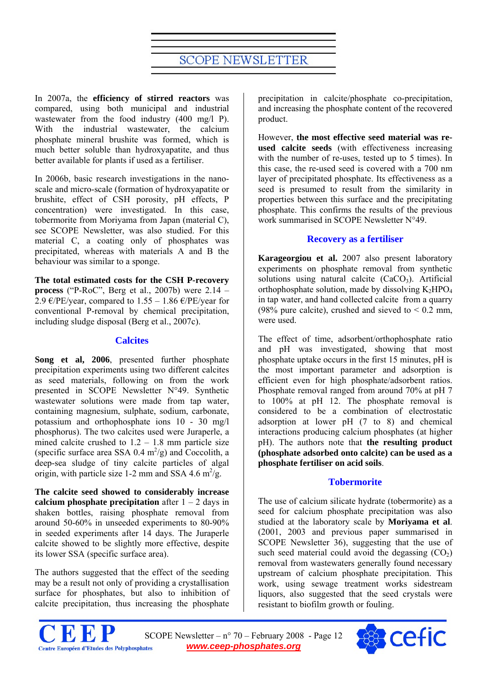In 2007a, the **efficiency of stirred reactors** was compared, using both municipal and industrial wastewater from the food industry (400 mg/l P). With the industrial wastewater, the calcium phosphate mineral brushite was formed, which is much better soluble than hydroxyapatite, and thus better available for plants if used as a fertiliser.

In 2006b, basic research investigations in the nanoscale and micro-scale (formation of hydroxyapatite or brushite, effect of CSH porosity, pH effects, P concentration) were investigated. In this case, tobermorite from Moriyama from Japan (material C), see SCOPE Newsletter, was also studied. For this material C, a coating only of phosphates was precipitated, whereas with materials A and B the behaviour was similar to a sponge.

**The total estimated costs for the CSH P-recovery process** ("P-RoC", Berg et al., 2007b) were 2.14 – 2.9  $\epsilon$ /PE/year, compared to 1.55 – 1.86  $\epsilon$ /PE/year for conventional P-removal by chemical precipitation, including sludge disposal (Berg et al., 2007c).

#### **Calcites**

**Song et al, 2006**, presented further phosphate precipitation experiments using two different calcites as seed materials, following on from the work presented in SCOPE Newsletter N°49. Synthetic wastewater solutions were made from tap water, containing magnesium, sulphate, sodium, carbonate, potassium and orthophosphate ions 10 - 30 mg/l phosphorus). The two calcites used were Juraperle, a mined calcite crushed to  $1.2 - 1.8$  mm particle size (specific surface area SSA  $0.4 \text{ m}^2/\text{g}$ ) and Coccolith, a deep-sea sludge of tiny calcite particles of algal origin, with particle size 1-2 mm and SSA 4.6  $\text{m}^2/\text{g}$ .

**The calcite seed showed to considerably increase calcium phosphate precipitation** after  $1 - 2$  days in shaken bottles, raising phosphate removal from around 50-60% in unseeded experiments to 80-90% in seeded experiments after 14 days. The Juraperle calcite showed to be slightly more effective, despite its lower SSA (specific surface area).

The authors suggested that the effect of the seeding may be a result not only of providing a crystallisation surface for phosphates, but also to inhibition of calcite precipitation, thus increasing the phosphate

precipitation in calcite/phosphate co-precipitation, and increasing the phosphate content of the recovered product.

However, **the most effective seed material was reused calcite seeds** (with effectiveness increasing with the number of re-uses, tested up to 5 times). In this case, the re-used seed is covered with a 700 nm layer of precipitated phosphate. Its effectiveness as a seed is presumed to result from the similarity in properties between this surface and the precipitating phosphate. This confirms the results of the previous work summarised in SCOPE Newsletter N°49.

#### **Recovery as a fertiliser**

**Karageorgiou et al.** 2007 also present laboratory experiments on phosphate removal from synthetic solutions using natural calcite  $(CaCO<sub>3</sub>)$ . Artificial orthophosphate solution, made by dissolving  $K_2HPO_4$ in tap water, and hand collected calcite from a quarry (98% pure calcite), crushed and sieved to  $\leq 0.2$  mm, were used.

The effect of time, adsorbent/orthophosphate ratio and pH was investigated, showing that most phosphate uptake occurs in the first 15 minutes, pH is the most important parameter and adsorption is efficient even for high phosphate/adsorbent ratios. Phosphate removal ranged from around 70% at pH 7 to 100% at pH 12. The phosphate removal is considered to be a combination of electrostatic adsorption at lower pH (7 to 8) and chemical interactions producing calcium phosphates (at higher pH). The authors note that **the resulting product (phosphate adsorbed onto calcite) can be used as a phosphate fertiliser on acid soils**.

#### **Tobermorite**

The use of calcium silicate hydrate (tobermorite) as a seed for calcium phosphate precipitation was also studied at the laboratory scale by **Moriyama et al**. (2001, 2003 and previous paper summarised in SCOPE Newsletter 36), suggesting that the use of such seed material could avoid the degassing  $(CO<sub>2</sub>)$ removal from wastewaters generally found necessary upstream of calcium phosphate precipitation. This work, using sewage treatment works sidestream liquors, also suggested that the seed crystals were resistant to biofilm growth or fouling.



SCOPE Newsletter –  $n^{\circ}$  70 – February 2008 - Page 12 *www.ceep-phosphates.org*

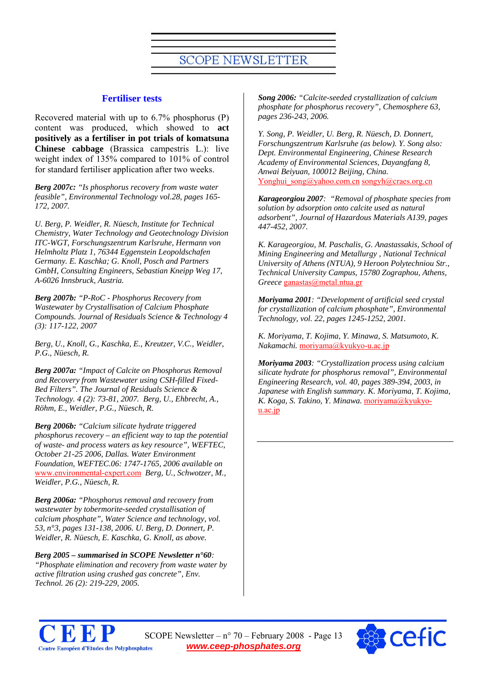#### **Fertiliser tests**

Recovered material with up to 6.7% phosphorus (P) content was produced, which showed to **act positively as a fertiliser in pot trials of komatsuna Chinese cabbage** (Brassica campestris L.): live weight index of 135% compared to 101% of control for standard fertiliser application after two weeks.

*Berg 2007c: "Is phosphorus recovery from waste water feasible", Environmental Technology vol.28, pages 165- 172, 2007.* 

*U. Berg, P. Weidler, R. Nüesch, Institute for Technical Chemistry, Water Technology and Geotechnology Division ITC-WGT, Forschungszentrum Karlsruhe, Hermann von Helmholtz Platz 1, 76344 Eggenstein Leopoldschafen Germany. E. Kaschka; G. Knoll, Posch and Partners GmbH, Consulting Engineers, Sebastian Kneipp Weg 17, A-6026 Innsbruck, Austria.* 

*Berg 2007b: "P-RoC - Phosphorus Recovery from Wastewater by Crystallisation of Calcium Phosphate Compounds. Journal of Residuals Science & Technology 4 (3): 117-122, 2007* 

*Berg, U., Knoll, G., Kaschka, E., Kreutzer, V.C., Weidler, P.G., Nüesch, R.* 

*Berg 2007a: "Impact of Calcite on Phosphorus Removal and Recovery from Wastewater using CSH-filled Fixed-Bed Filters". The Journal of Residuals Science & Technology. 4 (2): 73-81, 2007. Berg, U., Ehbrecht, A., Röhm, E., Weidler, P.G., Nüesch, R.* 

*Berg 2006b: "Calcium silicate hydrate triggered phosphorus recovery – an efficient way to tap the potential of waste- and process waters as key resource", WEFTEC, October 21-25 2006, Dallas. Water Environment Foundation, WEFTEC.06: 1747-1765, 2006 available on*  [www.environmental-expert.com](http://www.environmental-expert.com/) *Berg, U., Schwotzer, M., Weidler, P.G., Nüesch, R.* 

*Berg 2006a: "Phosphorus removal and recovery from wastewater by tobermorite-seeded crystallisation of calcium phosphate", Water Science and technology, vol. 53, n°3, pages 131-138, 2006. U. Berg, D. Donnert, P. Weidler, R. Nüesch, E. Kaschka, G. Knoll, as above.* 

*Berg 2005 – summarised in SCOPE Newsletter n°60: "Phosphate elimination and recovery from waste water by active filtration using crushed gas concrete", Env. Technol. 26 (2): 219-229, 2005.* 

*Song 2006: "Calcite-seeded crystallization of calcium phosphate for phosphorus recovery", Chemosphere 63, pages 236-243, 2006.* 

*Y. Song, P. Weidler, U. Berg, R. Nüesch, D. Donnert, Forschungszentrum Karlsruhe (as below). Y. Song also: Dept. Environmental Engineering, Chinese Research Academy of Environmental Sciences, Dayangfang 8, Anwai Beiyuan, 100012 Beijing, China.*  [Yonghui\\_song@yahoo.com.cn](mailto:Yonghui_song@yahoo.com.cn) [songyh@craes.org.cn](mailto:songyh@craes.org.cn)

*Karageorgiou 2007: "Removal of phosphate species from solution by adsorption onto calcite used as natural adsorbent", Journal of Hazardous Materials A139, pages 447-452, 2007.* 

*K. Karageorgiou, M. Paschalis, G. Anastassakis, School of Mining Engineering and Metallurgy , National Technical University of Athens (NTUA), 9 Heroon Polytechniou Str., Technical University Campus, 15780 Zographou, Athens, Greece* [ganastas@metal.ntua.gr](mailto:ganastas@metal.ntua.gr)

*Moriyama 2001: "Development of artificial seed crystal for crystallization of calcium phosphate", Environmental Technology, vol. 22, pages 1245-1252, 2001.* 

*K. Moriyama, T. Kojima, Y. Minawa, S. Matsumoto, K. Nakamachi.* [moriyama@kyukyo-u.ac.jp](mailto:moriyama@kyukyo-u.ac.jp)

*Moriyama 2003: "Crystallization process using calcium silicate hydrate for phosphorus removal", Environmental Engineering Research, vol. 40, pages 389-394, 2003, in Japanese with English summary. K. Moriyama, T. Kojima, K. Koga, S. Takino, Y. Minawa.* [moriyama@kyukyo](mailto:moriyama@kyukyo-u.ac.jp)[u.ac.jp](mailto:moriyama@kyukyo-u.ac.jp)



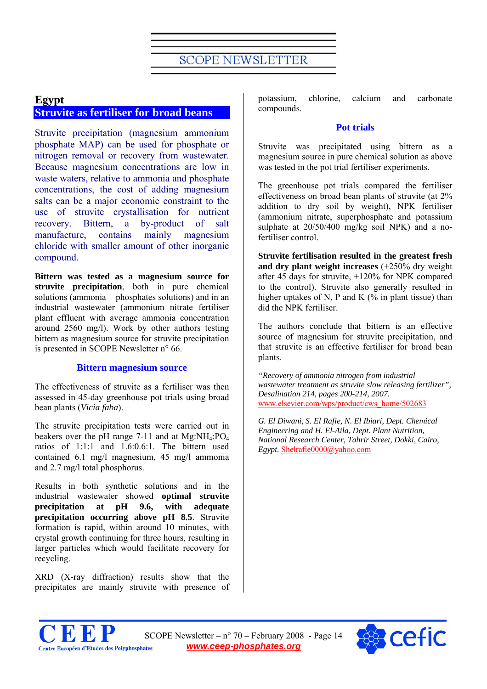#### <span id="page-13-0"></span>**Egypt**

### **Struvite as fertiliser for broad beans**

Struvite precipitation (magnesium ammonium phosphate MAP) can be used for phosphate or nitrogen removal or recovery from wastewater. Because magnesium concentrations are low in waste waters, relative to ammonia and phosphate concentrations, the cost of adding magnesium salts can be a major economic constraint to the use of struvite crystallisation for nutrient recovery. Bittern, a by-product of salt manufacture, contains mainly magnesium chloride with smaller amount of other inorganic compound.

**Bittern was tested as a magnesium source for struvite precipitation**, both in pure chemical solutions (ammonia + phosphates solutions) and in an industrial wastewater (ammonium nitrate fertiliser plant effluent with average ammonia concentration around 2560 mg/l). Work by other authors testing bittern as magnesium source for struvite precipitation is presented in SCOPE Newsletter n° 66.

#### **Bittern magnesium source**

The effectiveness of struvite as a fertiliser was then assessed in 45-day greenhouse pot trials using broad bean plants (*Vicia faba*).

The struvite precipitation tests were carried out in beakers over the pH range  $7-11$  and at Mg:NH<sub>4</sub>:PO<sub>4</sub> ratios of 1:1:1 and 1.6:0.6:1. The bittern used contained 6.1 mg/l magnesium, 45 mg/l ammonia and 2.7 mg/l total phosphorus.

Results in both synthetic solutions and in the industrial wastewater showed **optimal struvite precipitation at pH 9.6, with adequate precipitation occurring above pH 8.5**. Struvite formation is rapid, within around 10 minutes, with crystal growth continuing for three hours, resulting in larger particles which would facilitate recovery for recycling.

XRD (X-ray diffraction) results show that the precipitates are mainly struvite with presence of potassium, chlorine, calcium and carbonate compounds.

#### **Pot trials**

Struvite was precipitated using bittern as a magnesium source in pure chemical solution as above was tested in the pot trial fertiliser experiments.

The greenhouse pot trials compared the fertiliser effectiveness on broad bean plants of struvite (at 2% addition to dry soil by weight), NPK fertiliser (ammonium nitrate, superphosphate and potassium sulphate at 20/50/400 mg/kg soil NPK) and a nofertiliser control.

**Struvite fertilisation resulted in the greatest fresh and dry plant weight increases** (+250% dry weight after 45 days for struvite, +120% for NPK compared to the control). Struvite also generally resulted in higher uptakes of N, P and K  $(\%$  in plant tissue) than did the NPK fertiliser.

The authors conclude that bittern is an effective source of magnesium for struvite precipitation, and that struvite is an effective fertiliser for broad bean plants.

*"Recovery of ammonia nitrogen from industrial wastewater treatment as struvite slow releasing fertilizer", Desalination 214, pages 200-214, 2007.*  [www.elsevier.com/wps/product/cws\\_home/502683](http://www.elsevier.com/wps/product/cws_home/502683)

*G. El Diwani, S. El Rafie, N. El Ibiari, Dept. Chemical Engineering and H. El-Aila, Dept. Plant Nutrition, National Research Center, Tahrir Street, Dokki, Cairo, Egypt.* [Shelrafie0000@yahoo.com](mailto:Shelrafie0000@yahoo.com)





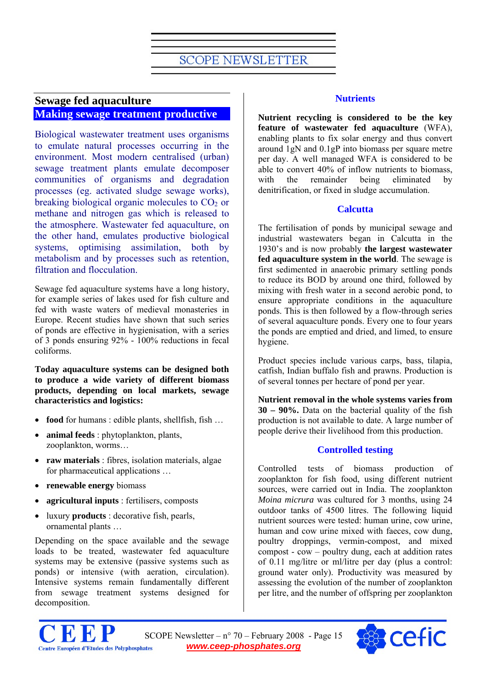### <span id="page-14-0"></span>**Sewage fed aquaculture Making sewage treatment productive**

Biological wastewater treatment uses organisms to emulate natural processes occurring in the environment. Most modern centralised (urban) sewage treatment plants emulate decomposer communities of organisms and degradation processes (eg. activated sludge sewage works), breaking biological organic molecules to  $CO<sub>2</sub>$  or methane and nitrogen gas which is released to the atmosphere. Wastewater fed aquaculture, on the other hand, emulates productive biological systems, optimising assimilation, both by metabolism and by processes such as retention, filtration and flocculation.

Sewage fed aquaculture systems have a long history, for example series of lakes used for fish culture and fed with waste waters of medieval monasteries in Europe. Recent studies have shown that such series of ponds are effective in hygienisation, with a series of 3 ponds ensuring 92% - 100% reductions in fecal coliforms.

**Today aquaculture systems can be designed both to produce a wide variety of different biomass products, depending on local markets, sewage characteristics and logistics:** 

- **food** for humans : edible plants, shellfish, fish ...
- **animal feeds** : phytoplankton, plants, zooplankton, worms…
- **raw materials** : fibres, isolation materials, algae for pharmaceutical applications …
- **renewable energy** biomass
- **agricultural inputs** : fertilisers, composts
- luxury **products** : decorative fish, pearls, ornamental plants …

Depending on the space available and the sewage loads to be treated, wastewater fed aquaculture systems may be extensive (passive systems such as ponds) or intensive (with aeration, circulation). Intensive systems remain fundamentally different from sewage treatment systems designed for decomposition.

#### **Nutrients**

**Nutrient recycling is considered to be the key feature of wastewater fed aquaculture** (WFA), enabling plants to fix solar energy and thus convert around 1gN and 0.1gP into biomass per square metre per day. A well managed WFA is considered to be able to convert 40% of inflow nutrients to biomass, with the remainder being eliminated by denitrification, or fixed in sludge accumulation.

#### **Calcutta**

The fertilisation of ponds by municipal sewage and industrial wastewaters began in Calcutta in the 1930's and is now probably **the largest wastewater fed aquaculture system in the world**. The sewage is first sedimented in anaerobic primary settling ponds to reduce its BOD by around one third, followed by mixing with fresh water in a second aerobic pond, to ensure appropriate conditions in the aquaculture ponds. This is then followed by a flow-through series of several aquaculture ponds. Every one to four years the ponds are emptied and dried, and limed, to ensure hygiene.

Product species include various carps, bass, tilapia, catfish, Indian buffalo fish and prawns. Production is of several tonnes per hectare of pond per year.

**Nutrient removal in the whole systems varies from 30 – 90%.** Data on the bacterial quality of the fish production is not available to date. A large number of people derive their livelihood from this production.

#### **Controlled testing**

Controlled tests of biomass production of zooplankton for fish food, using different nutrient sources, were carried out in India. The zooplankton *Moina micrura* was cultured for 3 months, using 24 outdoor tanks of 4500 litres. The following liquid nutrient sources were tested: human urine, cow urine, human and cow urine mixed with faeces, cow dung, poultry droppings, vermin-compost, and mixed  $\frac{1}{2}$  compost - cow – poultry dung, each at addition rates of 0.11 mg/litre or ml/litre per day (plus a control: ground water only). Productivity was measured by assessing the evolution of the number of zooplankton per litre, and the number of offspring per zooplankton



SCOPE Newsletter –  $n^{\circ}$  70 – February 2008 - Page 15 *www.ceep-phosphates.org*

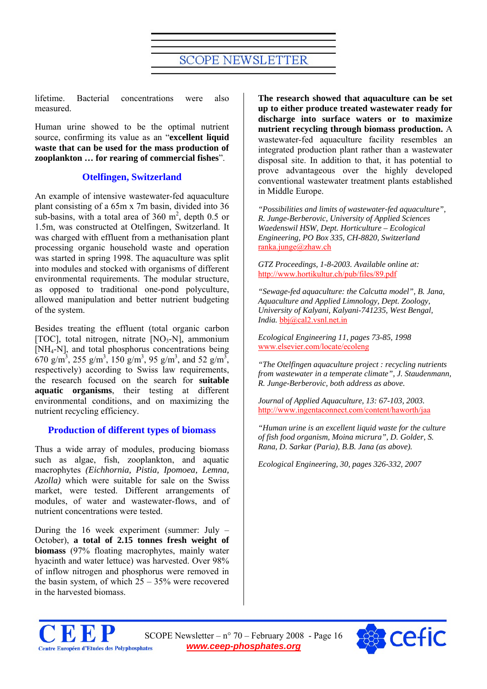lifetime. Bacterial concentrations were also measured.

Human urine showed to be the optimal nutrient source, confirming its value as an "**excellent liquid waste that can be used for the mass production of zooplankton … for rearing of commercial fishes**".

#### **Otelfingen, Switzerland**

An example of intensive wastewater-fed aquaculture plant consisting of a 65m x 7m basin, divided into 36 sub-basins, with a total area of  $360 \text{ m}^2$ , depth 0.5 or 1.5m, was constructed at Otelfingen, Switzerland. It was charged with effluent from a methanisation plant processing organic household waste and operation was started in spring 1998. The aquaculture was split into modules and stocked with organisms of different environmental requirements. The modular structure, as opposed to traditional one-pond polyculture, allowed manipulation and better nutrient budgeting of the system.

Besides treating the effluent (total organic carbon [TOC], total nitrogen, nitrate  $[NO<sub>3</sub>-N]$ , ammonium [NH4-N], and total phosphorus concentrations being 670 g/m<sup>3</sup>, 255 g/m<sup>3</sup>, 150 g/m<sup>3</sup>, 95 g/m<sup>3</sup>, and 52 g/m<sup>3</sup>, respectively) according to Swiss law requirements, the research focused on the search for **suitable aquatic organisms**, their testing at different environmental conditions, and on maximizing the nutrient recycling efficiency.

#### **Production of different types of biomass**

Thus a wide array of modules, producing biomass such as algae, fish, zooplankton, and aquatic macrophytes *(Eichhornia, Pistia, Ipomoea, Lemna, Azolla)* which were suitable for sale on the Swiss market, were tested. Different arrangements of modules, of water and wastewater-flows, and of nutrient concentrations were tested.

During the 16 week experiment (summer: July – October), **a total of 2.15 tonnes fresh weight of biomass** (97% floating macrophytes, mainly water hyacinth and water lettuce) was harvested. Over 98% of inflow nitrogen and phosphorus were removed in the basin system, of which  $25 - 35%$  were recovered in the harvested biomass.

**The research showed that aquaculture can be set up to either produce treated wastewater ready for discharge into surface waters or to maximize nutrient recycling through biomass production.** A wastewater-fed aquaculture facility resembles an integrated production plant rather than a wastewater disposal site. In addition to that, it has potential to prove advantageous over the highly developed conventional wastewater treatment plants established in Middle Europe.

*"Possibilities and limits of wastewater-fed aquaculture", R. Junge-Berberovic, University of Applied Sciences Waedenswil HSW, Dept. Horticulture – Ecological Engineering, PO Box 335, CH-8820, Switzerland*  [ranka.junge@zhaw.ch](mailto:ranka.junge@zhaw.ch)

*GTZ Proceedings, 1-8-2003. Available online at:*  <http://www.hortikultur.ch/pub/files/89.pdf>

*"Sewage-fed aquaculture: the Calcutta model", B. Jana, Aquaculture and Applied Limnology, Dept. Zoology, University of Kalyani, Kalyani-741235, West Bengal, India.* [bbj@cal2.vsnl.net.in](mailto:%20bbj@cal2.vsnl.net.in)

*Ecological Engineering 11, pages 73-85, 1998*  [www.elsevier.com/locate/ecoleng](http://www.elsevier.com/locate/ecoleng)

*"The Otelfingen aquaculture project : recycling nutrients from wastewater in a temperate climate", J. Staudenmann, R. Junge-Berberovic, both address as above.* 

*Journal of Applied Aquaculture, 13: 67-103, 2003.*  <http://www.ingentaconnect.com/content/haworth/jaa>

*"Human urine is an excellent liquid waste for the culture of fish food organism, Moina micrura", D. Golder, S. Rana, D. Sarkar (Paria), B.B. Jana (as above).* 

*Ecological Engineering, 30, pages 326-332, 2007* 



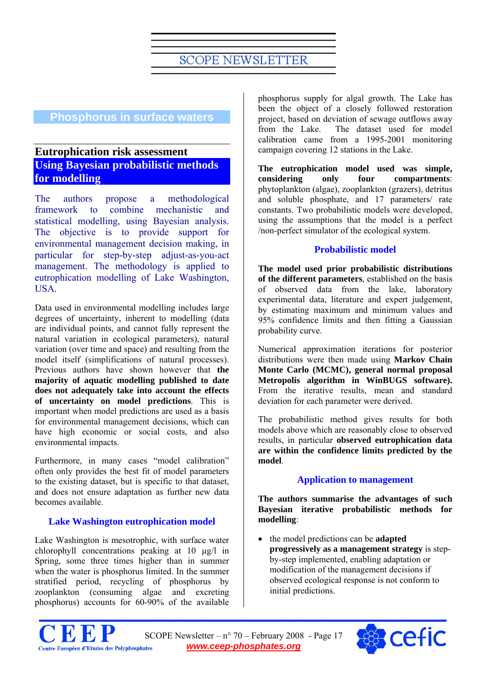#### <span id="page-16-0"></span>**Phosphorus in surface waters**

#### **Eutrophication risk assessment Using Bayesian probabilistic methods for modelling**

The authors propose a methodological framework to combine mechanistic and statistical modelling, using Bayesian analysis. The objective is to provide support for environmental management decision making, in particular for step-by-step adjust-as-you-act management. The methodology is applied to eutrophication modelling of Lake Washington, USA.

Data used in environmental modelling includes large degrees of uncertainty, inherent to modelling (data are individual points, and cannot fully represent the natural variation in ecological parameters), natural variation (over time and space) and resulting from the model itself (simplifications of natural processes). Previous authors have shown however that **the majority of aquatic modelling published to date does not adequately take into account the effects of uncertainty on model predictions**. This is important when model predictions are used as a basis for environmental management decisions, which can have high economic or social costs, and also environmental impacts.

Furthermore, in many cases "model calibration" often only provides the best fit of model parameters to the existing dataset, but is specific to that dataset, and does not ensure adaptation as further new data becomes available.

#### **Lake Washington eutrophication model**

Lake Washington is mesotrophic, with surface water chlorophyll concentrations peaking at 10 µg/l in Spring, some three times higher than in summer when the water is phosphorus limited. In the summer stratified period, recycling of phosphorus by zooplankton (consuming algae and excreting phosphorus) accounts for 60-90% of the available

phosphorus supply for algal growth. The Lake has been the object of a closely followed restoration project, based on deviation of sewage outflows away from the Lake. The dataset used for model calibration came from a 1995-2001 monitoring campaign covering 12 stations in the Lake.

**The eutrophication model used was simple, considering only four compartments**: phytoplankton (algae), zooplankton (grazers), detritus and soluble phosphate, and 17 parameters/ rate constants. Two probabilistic models were developed, using the assumptions that the model is a perfect /non-perfect simulator of the ecological system.

#### **Probabilistic model**

**The model used prior probabilistic distributions of the different parameters**, established on the basis of observed data from the lake, laboratory experimental data, literature and expert judgement, by estimating maximum and minimum values and 95% confidence limits and then fitting a Gaussian probability curve.

Numerical approximation iterations for posterior distributions were then made using **Markov Chain Monte Carlo (MCMC), general normal proposal Metropolis algorithm in WinBUGS software).** From the iterative results, mean and standard deviation for each parameter were derived.

The probabilistic method gives results for both models above which are reasonably close to observed results, in particular **observed eutrophication data are within the confidence limits predicted by the model**.

#### **Application to management**

**The authors summarise the advantages of such Bayesian iterative probabilistic methods for modelling**:

• the model predictions can be **adapted progressively as a management strategy** is stepby-step implemented, enabling adaptation or modification of the management decisions if observed ecological response is not conform to initial predictions.



SCOPE Newsletter – n° 70 – February 2008 - Page 17 *www.ceep-phosphates.org*

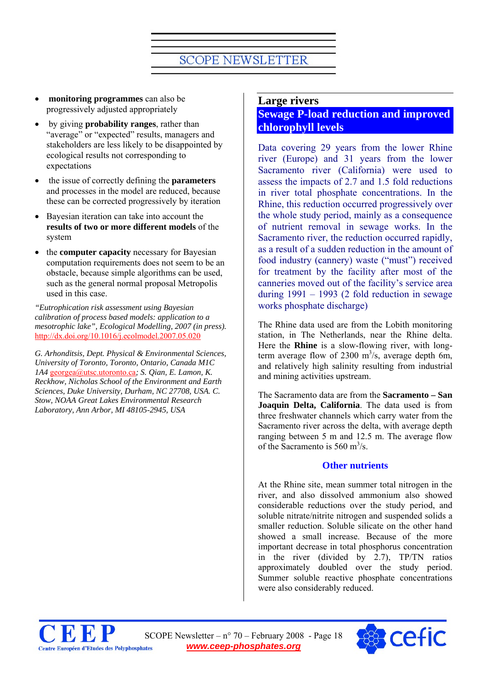- <span id="page-17-0"></span>• **monitoring programmes** can also be progressively adjusted appropriately
- by giving **probability ranges**, rather than "average" or "expected" results, managers and stakeholders are less likely to be disappointed by ecological results not corresponding to expectations
- the issue of correctly defining the **parameters** and processes in the model are reduced, because these can be corrected progressively by iteration
- Bayesian iteration can take into account the **results of two or more different models** of the system
- the **computer capacity** necessary for Bayesian computation requirements does not seem to be an obstacle, because simple algorithms can be used, such as the general normal proposal Metropolis used in this case.

*"Eutrophication risk assessment using Bayesian calibration of process based models: application to a mesotrophic lake", Ecological Modelling, 2007 (in press).*  <http://dx.doi.org/10.1016/j.ecolmodel.2007.05.020>

*G. Arhonditsis, Dept. Physical & Environmental Sciences, University of Toronto, Toronto, Ontario, Canada M1C 1A4* [georgea@utsc.utoronto.ca](mailto:georgea@utsc.utoronto.ca)*; S. Qian, E. Lamon, K. Reckhow, Nicholas School of the Environment and Earth Sciences, Duke University, Durham, NC 27708, USA. C. Stow, NOAA Great Lakes Environmental Research Laboratory, Ann Arbor, MI 48105-2945, USA* 

#### **Large rivers**

**Sewage P-load reduction and improved chlorophyll levels** 

Data covering 29 years from the lower Rhine river (Europe) and 31 years from the lower Sacramento river (California) were used to assess the impacts of 2.7 and 1.5 fold reductions in river total phosphate concentrations. In the Rhine, this reduction occurred progressively over the whole study period, mainly as a consequence of nutrient removal in sewage works. In the Sacramento river, the reduction occurred rapidly, as a result of a sudden reduction in the amount of food industry (cannery) waste ("must") received for treatment by the facility after most of the canneries moved out of the facility's service area during 1991 – 1993 (2 fold reduction in sewage works phosphate discharge)

The Rhine data used are from the Lobith monitoring station, in The Netherlands, near the Rhine delta. Here the **Rhine** is a slow-flowing river, with longterm average flow of 2300  $m^3/s$ , average depth 6m, and relatively high salinity resulting from industrial and mining activities upstream.

The Sacramento data are from the **Sacramento – San Joaquin Delta, California**. The data used is from three freshwater channels which carry water from the Sacramento river across the delta, with average depth ranging between 5 m and 12.5 m. The average flow of the Sacramento is 560 m<sup>3</sup>/s.

#### **Other nutrients**

At the Rhine site, mean summer total nitrogen in the river, and also dissolved ammonium also showed considerable reductions over the study period, and soluble nitrate/nitrite nitrogen and suspended solids a smaller reduction. Soluble silicate on the other hand showed a small increase. Because of the more important decrease in total phosphorus concentration in the river (divided by 2.7), TP/TN ratios approximately doubled over the study period. Summer soluble reactive phosphate concentrations were also considerably reduced.



SCOPE Newsletter –  $n^{\circ}$  70 – February 2008 - Page 18 *www.ceep-phosphates.org*

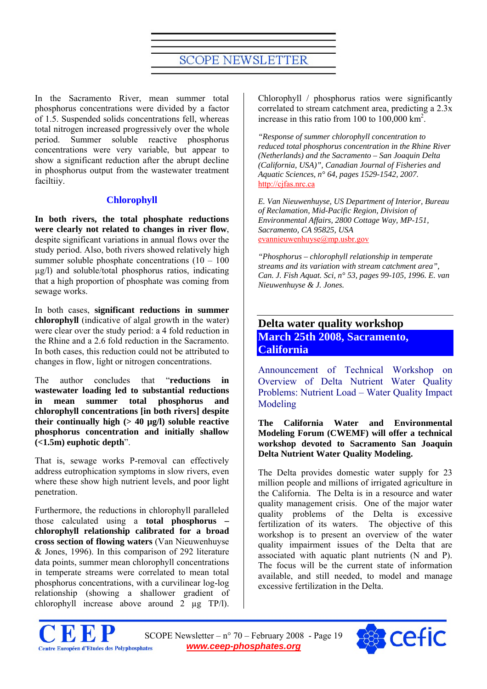<span id="page-18-0"></span>In the Sacramento River, mean summer total phosphorus concentrations were divided by a factor of 1.5. Suspended solids concentrations fell, whereas total nitrogen increased progressively over the whole period. Summer soluble reactive phosphorus concentrations were very variable, but appear to show a significant reduction after the abrupt decline in phosphorus output from the wastewater treatment faciltiiy.

#### **Chlorophyll**

**In both rivers, the total phosphate reductions were clearly not related to changes in river flow**, despite significant variations in annual flows over the study period. Also, both rivers showed relatively high summer soluble phosphate concentrations  $(10 - 100)$ µg/l) and soluble/total phosphorus ratios, indicating that a high proportion of phosphate was coming from sewage works.

In both cases, **significant reductions in summer chlorophyll** (indicative of algal growth in the water) were clear over the study period: a 4 fold reduction in the Rhine and a 2.6 fold reduction in the Sacramento. In both cases, this reduction could not be attributed to changes in flow, light or nitrogen concentrations.

The author concludes that "**reductions in wastewater loading led to substantial reductions in mean summer total phosphorus and chlorophyll concentrations [in both rivers] despite their continually high (> 40 µg/l) soluble reactive phosphorus concentration and initially shallow (<1.5m) euphotic depth**".

That is, sewage works P-removal can effectively address eutrophication symptoms in slow rivers, even where these show high nutrient levels, and poor light penetration.

Furthermore, the reductions in chlorophyll paralleled those calculated using a **total phosphorus – chlorophyll relationship calibrated for a broad cross section of flowing waters** (Van Nieuwenhuyse & Jones, 1996). In this comparison of 292 literature data points, summer mean chlorophyll concentrations in temperate streams were correlated to mean total phosphorus concentrations, with a curvilinear log-log relationship (showing a shallower gradient of chlorophyll increase above around 2 µg TP/l).

Chlorophyll / phosphorus ratios were significantly correlated to stream catchment area, predicting a 2.3x increase in this ratio from 100 to  $100,000 \text{ km}^2$ .

*"Response of summer chlorophyll concentration to reduced total phosphorus concentration in the Rhine River (Netherlands) and the Sacramento – San Joaquin Delta (California, USA)", Canadian Journal of Fisheries and Aquatic Sciences, n° 64, pages 1529-1542, 2007.*  [http://cjfas.nrc.ca](http://cjfas.nrc.ca/)

*E. Van Nieuwenhuyse, US Department of Interior, Bureau of Reclamation, Mid-Pacific Region, Division of Environmental Affairs, 2800 Cottage Way, MP-151, Sacramento, CA 95825, USA*  [evannieuwenhuyse@mp.usbr.gov](mailto:evannieuwenhuyse@mp.usbr.gov)

*"Phosphorus – chlorophyll relationship in temperate streams and its variation with stream catchment area", Can. J. Fish Aquat. Sci, n° 53, pages 99-105, 1996. E. van Nieuwenhuyse & J. Jones.* 

### **Delta water quality workshop March 25th 2008, Sacramento, California**

Announcement of Technical Workshop on Overview of Delta Nutrient Water Quality Problems: Nutrient Load – Water Quality Impact Modeling

**The California Water and Environmental Modeling Forum (CWEMF) will offer a technical workshop devoted to Sacramento San Joaquin Delta Nutrient Water Quality Modeling.** 

The Delta provides domestic water supply for 23 million people and millions of irrigated agriculture in the California. The Delta is in a resource and water quality management crisis. One of the major water quality problems of the Delta is excessive fertilization of its waters. The objective of this workshop is to present an overview of the water quality impairment issues of the Delta that are associated with aquatic plant nutrients (N and P). The focus will be the current state of information available, and still needed, to model and manage excessive fertilization in the Delta.



SCOPE Newsletter – n° 70 – February 2008 - Page 19 *www.ceep-phosphates.org*

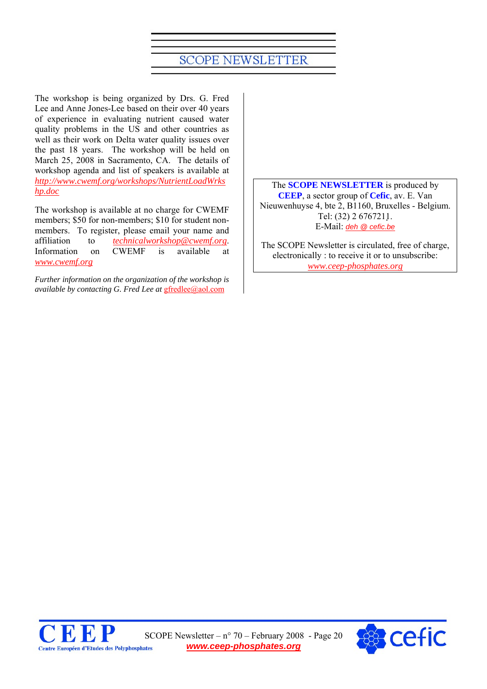The workshop is being organized by Drs. G. Fred Lee and Anne Jones-Lee based on their over 40 years of experience in evaluating nutrient caused water quality problems in the US and other countries as well as their work on Delta water quality issues over the past 18 years. The workshop will be held on March 25, 2008 in Sacramento, CA. The details of workshop agenda and list of speakers is available at *[http://www.cwemf.org/workshops/NutrientLoadWrks](http://www.cwemf.org/workshops/NutrientLoadWrkshp.doc) [hp.doc](http://www.cwemf.org/workshops/NutrientLoadWrkshp.doc)*

The workshop is available at no charge for CWEMF members; \$50 for non-members; \$10 for student nonmembers. To register, please email your name and affiliation to *[technicalworkshop@cwemf.org](mailto:technicalworkshop@cwemf.org)*.<br>Information on CWEMF is available at on CWEMF is available at *[www.cwemf.org](http://www.cwemf.org/)*

*Further information on the organization of the workshop is available by contacting G. Fred Lee at* [gfredlee@aol.com](mailto:gfredlee@aol.com)

The **SCOPE NEWSLETTER** is produced by **CEEP**, a sector group of **Cefic**, av. E. Van Nieuwenhuyse 4, bte 2, B1160, Bruxelles - Belgium. Tel: (32) 2 6767211. E-Mail: *deh @ cefic.be*

The SCOPE Newsletter is circulated, free of charge, electronically : to receive it or to unsubscribe: *[www.ceep-phosphates.org](http://www.ceep-phosphates.org/)*